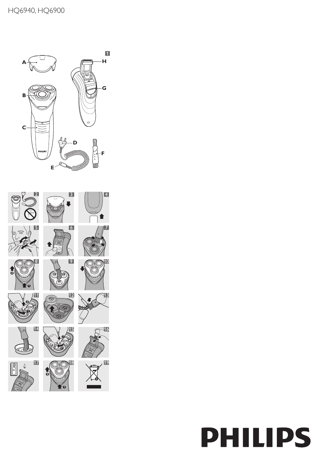

# **PHILIPS**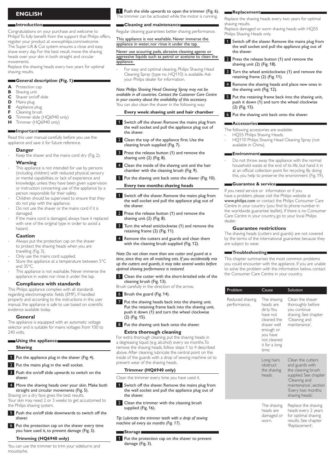# **English**

#### **Introduction**

Congratulations on your purchase and welcome to Philips! To fully benefit from the support that Philips offers, register your product at www.philips.com/welcome. The Super Lift & Cut system ensures a close and easy shave every day. For the best result, move the shaving heads over your skin in both straight and circular movements.

Replace the shaving heads every two years for optimal shaving results.

# **General description (Fig. 1)**

- **A** Protection cap<br>**B** Shaving unit
- **B** Shaving unit<br>**C** Shaver on/c
- **C** Shaver on/off slide
- **D** Mains plug<br>**E** Appliance
- **E** Appliance plug<br>**E** Cleaning brush
- **F** Cleaning brush<br>**G** Trimmer slide (
- Trimmer slide (HQ6940 only) **H** Trimmer (HQ6940 only)
- 

# **Important**

Read this user manual carefully before you use the appliance and save it for future reference.

#### **Danger**

Keep the shaver and the mains cord dry (Fig. 2). **Warning**

#### This appliance is not intended for use by persons (including children) with reduced physical, sensory or mental capabilities, or lack of experience and knowledge, unless they have been given supervision or instruction concerning use of the appliance by a person responsible for their safety.

- Children should be supervised to ensure that they do not play with the appliance.
- Do not use the shaver or the mains cord if it is damaged.
- If the mains cord is damaged, always have it replaced with one of the original type in order to avoid a hazard.

#### **Caution**

- Always put the protection cap on the shaver to protect the shaving heads when you are travelling (Fig. 3).
- Only use the mains cord supplied.
- Store the appliance at a temperature between 5°C and 35°C.
- This appliance is not washable. Never immerse the appliance in water, nor rinse it under the tap.

#### **Compliance with standards**

This Philips appliance complies with all standards regarding electromagnetic fields (EMF). If handled properly and according to the instructions in this user manual, the appliance is safe to use based on scientific evidence available today.

#### **General**

The appliance is equipped with an automatic voltage selector and is suitable for mains voltages from 100 to 240 volts.

#### **Using the appliance**

#### **Shaving**

**1** Put the appliance plug in the shaver (Fig. 4).

- 2 Put the mains plug in the wall socket.
- **3** Push the on/off slide upwards to switch on the shaver.
- 4 Move the shaving heads over your skin. Make both straight and circular movements (Fig. 5).

Shaving on a dry face gives the best results. Your skin may need 2 or 3 weeks to get accustomed to the Philips shaving system.

- 5 Push the on/off slide downwards to switch off the shaver.
- 6 Put the protection cap on the shaver every time you have used it, to prevent damage (Fig. 3).

#### **Trimming (HQ6940 only)**

You can use the trimmer to trim your sideburns and moustache.

#### 1 Push the slide upwards to open the trimmer (Fig. 6). The trimmer can be activated while the motor is running.

#### **Cleaning and maintenance**

Regular cleaning guarantees better shaving performance.

#### This appliance is not washable. Never immerse the appliance in water, nor rinse it under the tap.

#### Never use scouring pads, abrasive cleaning agents or aggressive liquids such as petrol or acetone to clean the appliance.

For easy and optimal cleaning, Philips Shaving Head Cleaning Spray (type no. HQ110) is available. Ask your Philips dealer for information.

*Note: Philips Shaving Head Cleaning Spray may not be available in all countries. Contact the Customer Care Centre in your country about the availability of this accessory.* You can also clean the shaver in the following way:

#### **Every week: shaving unit and hair chamber**

- 1 Switch off the shaver. Remove the mains plug from the wall socket and pull the appliance plug out of the shaver.
- 2 Clean the top of the appliance first. Use the cleaning brush supplied (Fig. 7).
- **3** Press the release button (1) and remove the shaving unit (2) (Fig. 8).
- 4 Clean the inside of the shaving unit and the hair chamber with the cleaning brush (Fig. 9).
- 5 Put the shaving unit back onto the shaver (Fig. 10).

# **Every two months: shaving heads**

- 1 Switch off the shaver. Remove the mains plug from the wall socket and pull the appliance plug out of the shaver.
- 2 Press the release button (1) and remove the shaving unit (2) (Fig. 8).
- **3** Turn the wheel anticlockwise (1) and remove the retaining frame (2) (Fig. 11).
- 4 Remove the cutters and guards and clean them with the cleaning brush supplied (Fig. 12).

*Note: Do not clean more than one cutter and guard at a time, since they are all matching sets. If you accidentally mix up the cutters and guards, it may take several weeks before optimal shaving performance is restored.*

**5** Clean the cutter with the short-bristled side of the cleaning brush (Fig. 13).

Brush carefully in the direction of the arrow.

#### 6 Brush the guard (Fig. 14).

- **7** Put the shaving heads back into the shaving unit. Put the retaining frame back into the shaving unit, push it down  $(1)$  and turn the wheel clockwise (2) (Fig. 15).
- 8 Put the shaving unit back onto the shaver.

#### **Extra thorough cleaning**

For extra thorough cleaning, put the shaving heads in a degreasing liquid (e.g. alcohol) every six months. To remove the shaving heads, follow steps 1 to 4 described above. After cleaning, lubricate the central point on the inside of the guards with a drop of sewing machine oil to prevent wear of the shaving heads.

#### **Trimmer (HQ6940 only)**

Clean the trimmer every time you have used it.

- Switch off the shaver. Remove the mains plug from the wall socket and pull the appliance plug out of the shaver.
- 2 Clean the trimmer with the cleaning brush supplied (Fig. 16).

*Tip: Lubricate the trimmer teeth with a drop of sewing machine oil every six months (Fig. 17).*

### **Storage**

1 Put the protection cap on the shaver to prevent damage (Fig. 3).

#### **Replacement**

Replace the shaving heads every two years for optimal shaving results.

Replace damaged or worn shaving heads with HQ55 Philips Shaving Heads only.

- 1 Switch off the shaver. Remove the mains plug from the wall socket and pull the appliance plug out of the shaver.
- 2 Press the release button (1) and remove the shaving unit (2) (Fig. 18).
- 3 Turn the wheel anticlockwise (1) and remove the retaining frame (2) (Fig. 11).
- Remove the shaving heads and place new ones in the shaving unit (Fig. 12).
- 5 Put the retaining frame back into the shaving unit, push it down (1) and turn the wheel clockwise (2) (Fig. 15).
- 6 Put the shaving unit back onto the shaver.

#### **Accessories**

The following accessories are available:

- HQ55 Philips Shaving Heads.
- HQ110 Philips Shaving Head Cleaning Spray (not available in China).

#### **Environment**

Do not throw away the appliance with the normal household waste at the end of its life, but hand it in at an official collection point for recycling. By doing this, you help to preserve the environment (Fig. 19).

#### **Guarantee & service**

If you need service or information or if you have a problem, please visit the Philips website at www.philips.com or contact the Philips Consumer Care Centre in your country (you find its phone number in the worldwide guarantee leaflet). If there is no Consumer Care Centre in your country, go to your local Philips dealer.

#### **Guarantee restrictions**

The shaving heads (cutters and guards) are not covered by the terms of the international guarantee because they are subject to wear.

#### **Troubleshooting**

This chapter summarises the most common problems you could encounter with the appliance. If you are unable to solve the problem with the information below, contact the Consumer Care Centre in your country.

| Problem                         | Cause                                                                                                                                              | Solution                                                                                                                                                               |
|---------------------------------|----------------------------------------------------------------------------------------------------------------------------------------------------|------------------------------------------------------------------------------------------------------------------------------------------------------------------------|
| Reduced shaving<br>performance. | The shaving<br>heads are<br>dirty. You<br>have not<br>cleaned the<br>shaver well<br>enough or<br>you have<br>not cleaned<br>it for a long<br>time. | Clean the shaver<br>thoroughly before<br>you continue<br>shaving. See chapter<br>'Cleaning and<br>maintenance'.                                                        |
|                                 | Long hairs<br>obstruct<br>the shaving<br>heads                                                                                                     | Clean the cutters<br>and guards with<br>the cleaning brush<br>supplied. See chapter<br>'Cleaning and<br>maintenance', section<br>'Every two months:<br>shaving heads'. |
|                                 | The shaving<br>heads are<br>damaged or<br>worn.                                                                                                    | Replace the shaving<br>heads every 2 years<br>for optimal shaving<br>results. See chapter<br>'Replacement'.                                                            |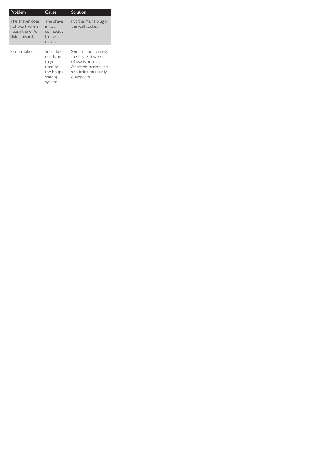| Problem                                                                 | Cause                                                                  | Solution                                                                                                                               |
|-------------------------------------------------------------------------|------------------------------------------------------------------------|----------------------------------------------------------------------------------------------------------------------------------------|
| The shaver does<br>not work when<br>I push the on/off<br>slide upwards. | The shaver<br>is not<br>connected<br>to the<br>mains.                  | Put the mains plug in<br>the wall socket.                                                                                              |
| Skin irritation.                                                        | Your skin<br>needs time<br>to get<br>used to<br>the Philips<br>shaving | Skin irritation during<br>the first 2-3 weeks<br>of use is normal.<br>After this period, the<br>skin irritation usually<br>disappears. |

system.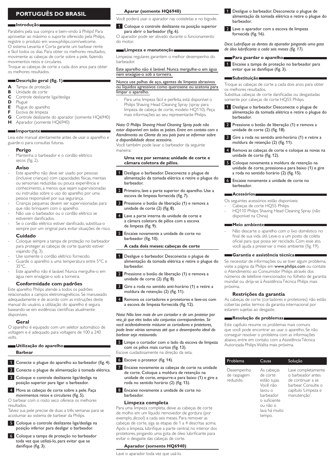# **Português do Brasil**

#### **Introdução**

Parabéns pela sua compra e bem-vindo à Philips! Para aproveitar ao máximo o suporte oferecido pela Philips, registre o produto em www.philips.com/welcome. O sistema Levanta e Corta garante um barbear rente e fácil todos os dias. Para obter os melhores resultados, movimente as cabeças de corte sobre a pele, fazendo movimentos retos e circulares.

Troque as cabeças de corte a cada dois anos para obter os melhores resultados.

# **Descrição geral (fig. 1)**

- **A** Tampa de proteção
- **B** Unidade de corte<br>**C** Controle deslizant
- **C** Controle deslizante liga/desliga<br>**D** Plugue
- **D** Plugue<br>**E** Plugue
- **E** Plugue do aparelho<br>**E** Escova de limpeza
- **F** Escova de limpeza<br>**G** Controle deslizante
- **G** Controle deslizante do aparador (somente HQ6940)
- **H** Aparador (somente HQ6940)

# **Importante**

Leia este manual atentamente antes de usar o aparelho e guarde-o para consultas futuras.

# **Perigo**

Mantenha o barbeador e o cordão elétrico secos (fig. 2).

#### **Aviso**

- Este aparelho não deve ser usado por pessoas (inclusive crianças) com capacidades físicas, mentais ou sensoriais reduzidas ou pouca experiência e conhecimento, a menos que sejam supervisionadas ou instruídas sobre o uso do aparelho por uma pessoa responsável por sua segurança.
- Crianças pequenas devem ser supervisionadas para que não brinquem com o aparelho.
- Não use o barbeador ou o cordão elétrico se estiverem danificados.
- Se o cordão elétrico estiver danificado, substitua-o sempre por um original para evitar situações de risco.

### **Cuidado**

- Coloque sempre a tampa de proteção no barbeador para proteger as cabeças de corte quando estiver viajando (fig. 3).
- Use somente o cordão elétrico fornecido.
- Guarde o aparelho a uma temperatura entre 5°C e 35°C.
- Este aparelho não é lavável. Nunca mergulhe-o em água nem enxágüe-o sob a torneira.

# **Conformidade com padrões**

Este aparelho Philips atende a todos os padrões relacionados a campos eletromagnéticos. Se manuseado adequadamente e de acordo com as instruções deste manual do usuário, a utilização do aparelho é segura baseando-se em evidências científicas atualmente disponíveis.

#### **Geral**

O aparelho é equipado com um seletor automático de voltagem e é adequado para voltagens de 100 a 240 volts.

# **Utilização do aparelho**

# **Barbear**

- 1 Conecte o plugue do aparelho ao barbeador (fig. 4).
- 2 Conecte o plugue de alimentação à tomada elétrica.
- 3 Coloque o controle deslizante liga/desliga na posição superior para ligar o barbeador.
- 4 Mova as cabeças de corte sobre a pele. Faça movimentos retos e circulares (fig. 5).
- O barbear com o rosto seco oferece os melhores resultados.

Talvez sua pele precise de duas a três semanas para se acostumar ao sistema de barbear da Philips.

- 5 Coloque o controle deslizante liga/desliga na posição inferior para desligar o barbeador.
- 6 Coloque a tampa de proteção no barbeador toda vez que utilizá-lo, para evitar que se danifique (fig. 3).

#### **Aparar (somente HQ6940)**

Você poderá usar o aparador nas costeletas e no bigode.

#### 1 Coloque o controle deslizante na posição superior para abrir o barbeador (fig. 6).

O aparador pode ser ativado durante o funcionamento do motor.

#### **Limpeza e manutenção**

Limpezas regulares garantem o melhor desempenho do barbeador.

#### Este aparelho não é lavável. Nunca mergulhe-o em água nem enxágüe-o sob a torneira.

#### Nunca use palhas de aço, agentes de limpeza abrasivos ou líquidos agressivos como querosene ou acetona para limpar o aparelho.

Para uma limpeza fácil e perfeita, está disponível o Philips Shaving Head Cleaning Spray (spray para limpeza de cabeça de corte, modelo HQ110). Peça mais informações ao seu representante Philips.

#### *Nota: O Philips Shaving Head Cleaning Spray pode não estar disponível em todos os países. Entre em contato com o Atendimento ao Cliente do seu país para se informar sobre a disponibilidade desse acessório.*

Você também pode lavar o barbeador da seguinte maneira:

#### **Uma vez por semana: unidade de corte e câmara coletora de pêlos.**

- 1 Desligue o barbeador. Desconecte o plugue de alimentação da tomada elétrica e retire o plugue do barbeador.
- 2 Primeiro, lave a parte superior do aparelho. Use a escova de limpeza fornecida (fig. 7).
- Pressione o botão de liberação (1) e remova a unidade de corte (2) (fig. 8).
- 4 Lave a parte interna da unidade de corte e a câmara coletora de pêlos com a escova de limpeza (fig. 9).
- 5 Encaixe novamente a unidade de corte no barbeador (fig. 10).
	- **A cada dois meses: cabeças de corte**
- 1 Desligue o barbeador. Desconecte o plugue de alimentação da tomada elétrica e retire o plugue do barbeador.
- 2 Pressione o botão de liberação (1) e remova a unidade de corte (2) (fig. 8).
- 3 Gire a roda no sentido anti-horário (1) e retire a moldura de retenção (2) (fig. 11).
- 4 Remova os cortadores e protetores e lave-os com a escova de limpeza fornecida (fig. 12).

*Nota: Não lave mais de um cortador e de um protetor por vez, já que eles todos são conjuntos correspondentes. Se você acidentalmente misturar os cortadores e protetores, pode levar várias semanas até que o desempenho ideal do barbear seja restaurado.*

Limpe o cortador com o lado da escova de limpeza com os pêlos mais curtos (fig. 13). Escove cuidadosamente na direção da seta.

- **6** Escove o protetor (fig. 14).
- 7 Encaixe novamente as cabeças de corte na unidade de corte. Coloque a moldura de retenção na unidade de corte, empurre-a para baixo (1) e gire a roda no sentido horário (2) (fig. 15).

8 Encaixe novamente a unidade de corte no barbeador.

#### **Limpeza completa**

Para uma limpeza completa, deixe as cabeças de corte de molho em um líquido removedor de gordura (por exemplo, álcool) a cada seis meses. Para remover as cabeças de corte, siga as etapas de 1 a 4 descritas acima. Após a limpeza, lubrifique a parte central, no interior dos protetores, pingando uma gota de óleo lubrificante para evitar o desgaste das cabeças de corte.

#### **Aparador (somente HQ6940)**

Lave o aparador toda vez que usá-lo.

- 1 Desligue o barbeador. Desconecte o plugue de alimentação da tomada elétrica e retire o plugue do barbeador.
- 2 Lave o aparador com a escova de limpeza fornecida (fig. 16).

*Dica: Lubrifique os dentes do aparador pingando uma gota de óleo lubrificante a cada seis meses (fig. 17).*

#### **Para guardar o aparelho**

1 Encaixe a tampa de proteção no barbeador para evitar que se danifique (fig. 3).

#### **Substituição**

Troque as cabeças de corte a cada dois anos para obter os melhores resultados. Substitua cabeças de corte danificadas ou desgastadas somente por cabeças de corte HQ55 Philips.

- 1 Desligue o barbeador. Desconecte o plugue de alimentação da tomada elétrica e retire o plugue do barbeador.
- 2 Pressione o botão de liberação (1) e remova a unidade de corte (2) (fig. 18).
- 3 Gire a roda no sentido anti-horário (1) e retire a moldura de retenção (2) (fig. 11).
- 4 Remova as cabeças de corte e coloque as novas na unidade de corte (fig. 12).
- 5 Coloque novamente a moldura de retenção na unidade de corte, pressione-a para baixo (1) e gire a roda no sentido horário (2) (fig. 15).
- 6 Encaixe novamente a unidade de corte no barbeador.

#### **Acessórios**

- Os seguintes acessórios estão disponíveis:
- Cabeças de corte HQ55 Philips.
- HQ110 Philips Shaving Head Cleaning Spray (não disponível na China)

#### **Meio ambiente**

Não descarte o aparelho com o lixo doméstico no final de sua vida útil. Leve-o a um posto de coleta oficial para que possa ser reciclado. Com esse ato, você ajuda a preservar o meio ambiente (fig. 19).

#### **Garantia e assistência técnica**

Se necessitar de informações ou se tiver algum problema, visite a página da Philips em www.philips.com ou contate o Atendimento ao Consumidor Philips através dos números de telefone mencionados no folheto de garantia mundial ou dirija-se à Assistência Técnica Philips mais próxima.

#### **Restrições da garantia**

As cabeças de corte (cortadores e protetores) não estão cobertas pelos termos da garantia internacional por estarem sujeitas ao desgaste.

#### **Resolução de problemas**

Este capítulo resume os problemas mais comuns que você pode encontrar ao usar o aparelho. Se não conseguir resolver o problema com as informações abaixo, entre em contato com a Assistência Técnica Autorizada Philips Walita mais próxima.

| Problema                               | Causa                                                                                                                             | Solução                                                                                                                    |
|----------------------------------------|-----------------------------------------------------------------------------------------------------------------------------------|----------------------------------------------------------------------------------------------------------------------------|
| Desempenho<br>de raspagem<br>reduzido. | As cabeças<br>de corte<br>estão sujas.<br>Você não<br>lavou o<br>barbeador<br>o suficiente<br>ou não o<br>lava há muito<br>tempo. | Lave completamente<br>o barbeador antes<br>de continuar a se<br>barbear. Consulte o<br>capítulo 'Limpeza e<br>manutenção'. |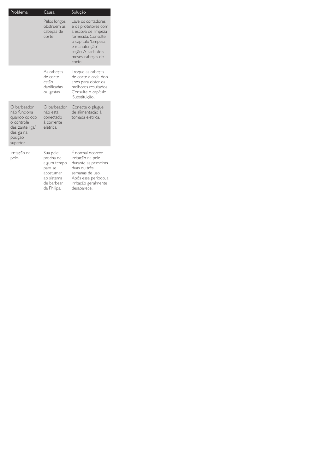| Problema                                                                                                             | Causa                                                                                                    | Solução                                                                                                                                                                               |
|----------------------------------------------------------------------------------------------------------------------|----------------------------------------------------------------------------------------------------------|---------------------------------------------------------------------------------------------------------------------------------------------------------------------------------------|
|                                                                                                                      | Pêlos longos<br>obstruem as<br>cabeças de<br>corte.                                                      | Lave os cortadores<br>e os protetores com<br>a escova de limpeza<br>fornecida. Consulte<br>o capítulo 'Limpeza<br>e manutenção',<br>seção 'A cada dois<br>meses: cabeças de<br>corte. |
|                                                                                                                      | As cabeças<br>de corte<br>estão<br>danificadas<br>ou gastas.                                             | Troque as cabeças<br>de corte a cada dois<br>anos para obter os<br>melhores resultados.<br>Consulte o capítulo<br>'Substituicão'.                                                     |
| O barbeador<br>não funciona<br>quando coloco<br>o controle<br>deslizante liga/<br>desliga na<br>posição<br>superior. | O barbeador<br>não está<br>conectado<br>à corrente<br>elétrica.                                          | Conecte o plugue<br>de alimentação à<br>tomada elétrica.                                                                                                                              |
| Irritação na<br>pele.                                                                                                | Sua pele<br>precisa de<br>algum tempo<br>para se<br>acostumar<br>ao sistema<br>de barbear<br>da Philips. | É normal ocorrer<br>irritação na pele<br>durante as primeiras<br>duas ou três<br>semanas de uso.<br>Após esse período, a<br>irritação geralmente<br>desaparece.                       |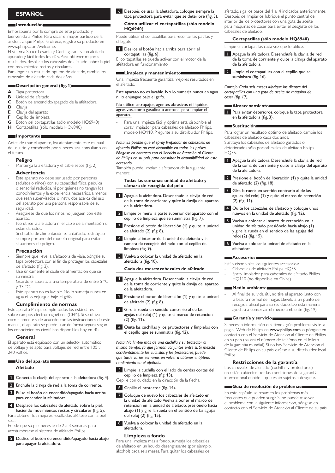# **Español**

#### **Introducción**

Enhorabuena por la compra de este producto y bienvenido a Philips. Para sacar el mayor partido de la asistencia que Philips le ofrece, registre su producto en www.philips.com/welcome.

El sistema Súper Levanta y Corta garantiza un afeitado apurado y fácil todos los días. Para obtener mejores resultados, desplace los cabezales de afeitado sobre la piel con movimientos rectos y circulares.

Para lograr un resultado óptimo de afeitado, cambie los cabezales de afeitado cada dos años.

#### **Descripción general (fig. 1)**

- **A** Tapa protectora
- **B** Unidad de afeitado<br>**C** Botón de encendid
- **C** Botón de encendido/apagado de la afeitadora
- **D** Clavija<br>**E** Clavija
- **E** Clavija del aparato
- **F** Cepillo de limpieza<br>**G** Botón del cortanat
- **G** Botón del cortapatillas (sólo modelo HQ6940) **H** Cortapatillas (sólo modelo HQ6940)

#### **Importante**

Antes de usar el aparato, lea atentamente este manual de usuario y consérvelo por si necesitara consultarlo en el futuro.

#### **Peligro**

Mantenga la afeitadora y el cable secos (fig. 2). **Advertencia**

- Este aparato no debe ser usado por personas (adultos o niños) con su capacidad física, psíquica o sensorial reducida, ni por quienes no tengan los conocimientos y la experiencia necesarios, a menos que sean supervisados o instruidos acerca del uso del aparato por una persona responsable de su seguridad.
- Asegúrese de que los niños no jueguen con este aparato.
- No utilice la afeitadora ni el cable de alimentación si están dañados.
- Si el cable de alimentación está dañado, sustitúyalo siempre por uno del modelo original para evitar situaciones de peligro.

#### **Precaución**

- Siempre que lleve la afeitadora de viaje, póngale su tapa protectora con el fin de proteger los cabezales de afeitado (fig. 3).
- Use únicamente el cable de alimentación que se suministra.
- Guarde el aparato a una temperatura de entre 5 °C y 35 °C.
- Este aparato no es lavable. No lo sumerja nunca en agua ni lo enjuague bajo el grifo.

# **Cumplimiento de normas**

Este aparato Philips cumple todos los estándares sobre campos electromagnéticos (CEM). Si se utiliza correctamente y de acuerdo con las instrucciones de este manual, el aparato se puede usar de forma segura según los conocimientos científicos disponibles hoy en día.

#### **General**

El aparato está equipado con un selector automático de voltaje y es apto para voltajes de red entre 100 y 240 voltios.

#### **Uso del aparato Afeitado**

- 1 Conecte la clavija del aparato a la afeitadora (fig. 4).
- 2 Enchufe la clavija de red a la toma de corriente.
- 3 Pulse el botón de encendido/apagado hacia arriba para encender la afeitadora.
- 4 Desplace los cabezales de afeitado sobre la piel, haciendo movimientos rectos y circulares (fig. 5). Para obtener los mejores resultados, aféitese con la piel

seca. Puede que su piel necesite de 2 a 3 semanas para

acostumbrarse al sistema de afeitado Philips.

5 Deslice el botón de encendido/apagado hacia abajo para apagar la afeitadora.

6 Después de usar la afeitadora, coloque siempre la tapa protectora para evitar que se deteriore (fig. 3).

# **Cómo utilizar el cortapatillas (sólo modelo HQ6940)**

Puede utilizar el cortapatillas para recortar las patillas y el bigote.

1 Deslice el botón hacia arriba para abrir el cortapatillas (fig. 6).

El cortapatillas se puede activar con el motor de la afeitadora en funcionamiento.

#### **Limpieza y mantenimiento**

Una limpieza frecuente garantiza mejores resultados en el afeitado.

#### Este aparato no es lavable. No lo sumerja nunca en agua ni lo enjuague bajo el grifo.

No utilice estropajos, agentes abrasivos ni líquidos agresivos, como gasolina o acetona, para limpiar el aparato.

Para una limpieza fácil y óptima está disponible el spray limpiador para cabezales de afeitado Philips, modelo HQ110. Pregunte a su distribuidor Philips.

#### *Nota: Es posible que el spray limpiador de cabezales de afeitado Philips no esté disponible en todos los países. Póngase en contacto con el Servicio de Atención al Cliente de Philips en su país para consultar la disponibilidad de este accesorio.*

También puede limpiar la afeitadora de la siguiente manera:

#### **Todas las semanas: unidad de afeitado y cámara de recogida del pelo**

- 1 Apague la afeitadora. Desenchufe la clavija de red de la toma de corriente y quite la clavija del aparato de la afeitadora.
- 2 Limpie primero la parte superior del aparato con el cepillo de limpieza que se suministra (fig. 7).
- 3 Presione el botón de liberación (1) y quite la unidad de afeitado (2) (fig. 8).
- 4 Limpie el interior de la unidad de afeitado y la cámara de recogida del pelo con el cepillo de limpieza (fig. 9).
- 5 Vuelva a colocar la unidad de afeitado en la afeitadora (fig. 10).

# **Cada dos meses: cabezales de afeitado**

- 1 Apague la afeitadora. Desenchufe la clavija de red de la toma de corriente y quite la clavija del aparato de la afeitadora.
- 2 Presione el botón de liberación (1) y quite la unidad de afeitado (2) (fig. 8).
- 3 Gire la rueda en sentido contrario al de las agujas del reloj (1) y quite el marco de retención (2) (fig. 11).
- 4 Quite las cuchillas y los protectores y límpielos con el cepillo que se suministra (fig. 12).

*Nota: No limpie más de una cuchilla y su protector al mismo tiempo, ya que forman conjuntos entre sí. Si mezcla accidentalmente las cuchillas y los protectores, puede que tarde varias semanas en volver a obtener el óptimo rendimiento en el afeitado.*

Limpie la cuchilla con el lado de cerdas cortas del cepillo de limpieza (fig. 13).

Cepille con cuidado en la dirección de la flecha.

- 6 Cepille el protector (fig. 14).
- 7 Coloque de nuevo los cabezales de afeitado en la unidad de afeitado. Vuelva a poner el marco de retención en la unidad de afeitado, presiónelo hacia abajo (1) y gire la rueda en el sentido de las agujas del reloj (2) (fig. 15).
- 8 Vuelva a colocar la unidad de afeitado en la afeitadora.

#### **Limpieza a fondo**

Para una limpieza más a fondo, sumerja los cabezales de afeitado en un líquido desengrasante (por ejemplo, alcohol) cada seis meses. Para quitar los cabezales de

afeitado, siga los pasos del 1 al 4 indicados anteriormente. Después de limpiarlos, lubrique el punto central del interior de los protectores con una gota de aceite para máquinas de coser para evitar el desgaste de los cabezales de afeitado.

#### **Cortapatillas (sólo modelo HQ6940)**

Limpie el cortapatillas cada vez que lo utilice.

- 1 Apague la afeitadora. Desenchufe la clavija de red de la toma de corriente y quite la clavija del aparato de la afeitadora.
- 2 Limpie el cortapatillas con el cepillo que se suministra (fig. 16).

*Consejo: Cada seis meses lubrique los dientes del cortapatillas con una gota de aceite de máquina de coser (fig. 17).*

#### **Almacenamiento**

1 Para evitar deterioros, coloque la tapa protectora en la afeitadora (fig. 3).

#### **Sustitución**

Para lograr un resultado óptimo de afeitado, cambie los cabezales de afeitado cada dos años. Sustituya los cabezales de afeitado gastados o deteriorados sólo por cabezales de afeitado Philips HQ55.

- 1 Apague la afeitadora. Desenchufe la clavija de red de la toma de corriente y quite la clavija del aparato de la afeitadora.
- 2 Presione el botón de liberación (1) y quite la unidad de afeitado (2) (fig. 18).
- Gire la rueda en sentido contrario al de las agujas del reloj (1) y quite el marco de retención (2) (fig. 11).
- 4 Quite los cabezales de afeitado y coloque unos nuevos en la unidad de afeitado (fig. 12).
- 5 Vuelva a colocar el marco de retención en la unidad de afeitado, presiónelo hacia abajo (1) y gire la rueda en el sentido de las agujas del reloj (2) (fig. 15).
- 6 Vuelva a colocar la unidad de afeitado en la afeitadora.

#### **Accesorios**

Están disponibles los siguientes accesorios:

- Cabezales de afeitado Philips HQ55
- Spray limpiador para cabezales de afeitado Philips HQ110 (no disponible en China).

#### **Medio ambiente**

Al final de su vida útil, no tire el aparato junto con la basura normal del hogar. Llévelo a un punto de recogida oficial para su reciclado. De esta manera ayudará a conservar el medio ambiente (fig. 19).

#### **Garantía y servicio**

Si necesita información o si tiene algún problema, visite la página Web de Philips en www.philips.com, o póngase en contacto con el Servicio de Atención al Cliente de Philips en su país (hallará el número de teléfono en el folleto de la garantía mundial). Si no hay Servicio de Atención al Cliente de Philips en su país, diríjase a su distribuidor local Philips.

#### **Restricciones de la garantía**

Los cabezales de afeitado (cuchillas y protectores) no están cubiertos por las condiciones de la garantía internacional debido a que están sujetos a desgaste.

## **Guía de resolución de problemas**

En este capítulo se resumen los problemas más frecuentes que pueden surgir. Si no puede resolver el problema con la siguiente información, póngase en contacto con el Servicio de Atención al Cliente de su país.